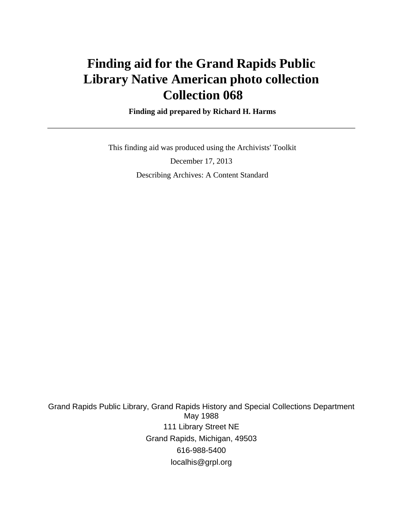# **Finding aid for the Grand Rapids Public Library Native American photo collection Collection 068**

 **Finding aid prepared by Richard H. Harms**

 This finding aid was produced using the Archivists' Toolkit December 17, 2013 Describing Archives: A Content Standard

Grand Rapids Public Library, Grand Rapids History and Special Collections Department May 1988 111 Library Street NE Grand Rapids, Michigan, 49503 616-988-5400 localhis@grpl.org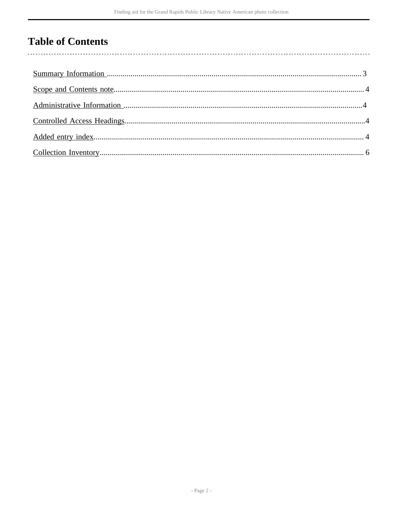## **Table of Contents**

 $\overline{\phantom{a}}$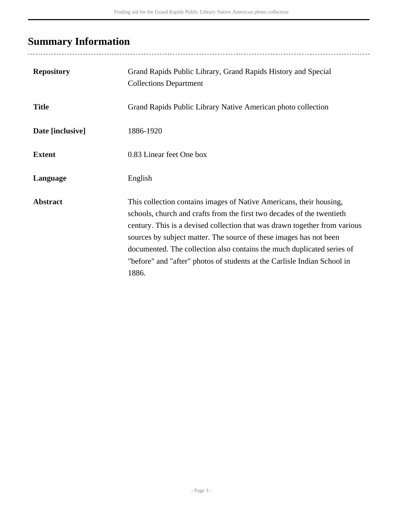## <span id="page-2-0"></span>**Summary Information**

| <b>Repository</b> | Grand Rapids Public Library, Grand Rapids History and Special<br><b>Collections Department</b>                                                                                                                                                                                                                                                                                                                                                                   |
|-------------------|------------------------------------------------------------------------------------------------------------------------------------------------------------------------------------------------------------------------------------------------------------------------------------------------------------------------------------------------------------------------------------------------------------------------------------------------------------------|
| <b>Title</b>      | Grand Rapids Public Library Native American photo collection                                                                                                                                                                                                                                                                                                                                                                                                     |
| Date [inclusive]  | 1886-1920                                                                                                                                                                                                                                                                                                                                                                                                                                                        |
| <b>Extent</b>     | 0.83 Linear feet One box                                                                                                                                                                                                                                                                                                                                                                                                                                         |
| Language          | English                                                                                                                                                                                                                                                                                                                                                                                                                                                          |
| <b>Abstract</b>   | This collection contains images of Native Americans, their housing,<br>schools, church and crafts from the first two decades of the twentieth<br>century. This is a devised collection that was drawn together from various<br>sources by subject matter. The source of these images has not been<br>documented. The collection also contains the much duplicated series of<br>"before" and "after" photos of students at the Carlisle Indian School in<br>1886. |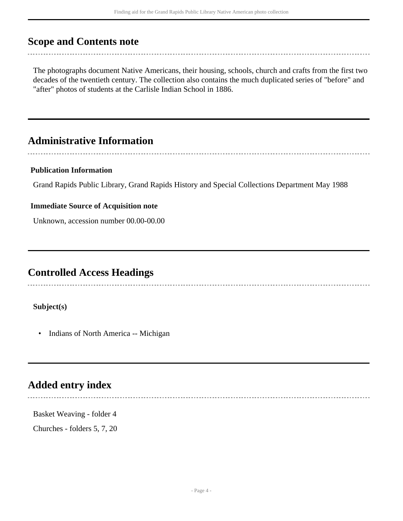### <span id="page-3-0"></span>**Scope and Contents note**

The photographs document Native Americans, their housing, schools, church and crafts from the first two decades of the twentieth century. The collection also contains the much duplicated series of "before" and "after" photos of students at the Carlisle Indian School in 1886.

### <span id="page-3-1"></span>**Administrative Information**

#### **Publication Information**

Grand Rapids Public Library, Grand Rapids History and Special Collections Department May 1988

#### **Immediate Source of Acquisition note**

Unknown, accession number 00.00-00.00

### <span id="page-3-2"></span>**Controlled Access Headings**

#### **Subject(s)**

• Indians of North America -- Michigan

### <span id="page-3-3"></span>**Added entry index**

Basket Weaving - folder 4

Churches - folders 5, 7, 20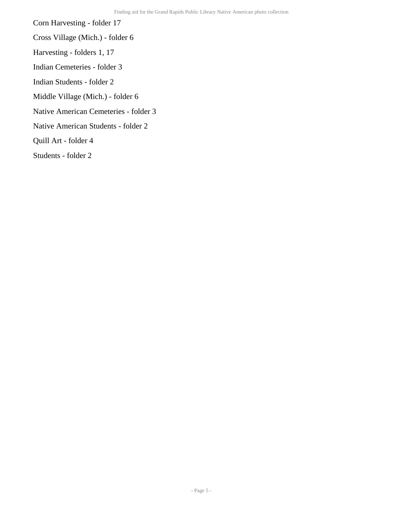Corn Harvesting - folder 17

- Cross Village (Mich.) folder 6
- Harvesting folders 1, 17
- Indian Cemeteries folder 3
- Indian Students folder 2
- Middle Village (Mich.) folder 6
- Native American Cemeteries folder 3
- Native American Students folder 2
- Quill Art folder 4
- Students folder 2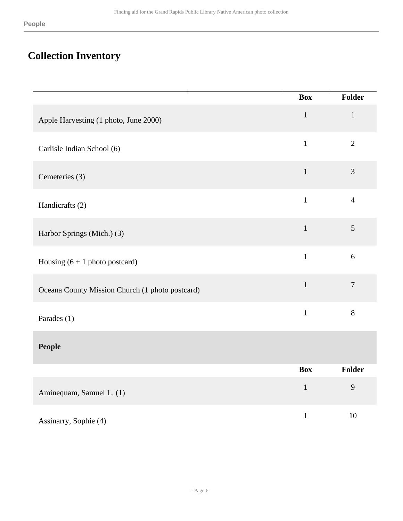## <span id="page-5-0"></span>**Collection Inventory**

|                                                 | <b>Box</b>   | Folder         |
|-------------------------------------------------|--------------|----------------|
| Apple Harvesting (1 photo, June 2000)           | $\mathbf{1}$ | $\mathbf{1}$   |
| Carlisle Indian School (6)                      | $\mathbf{1}$ | $\overline{2}$ |
| Cemeteries (3)                                  | $\mathbf{1}$ | $\overline{3}$ |
| Handicrafts (2)                                 | $\mathbf{1}$ | $\overline{4}$ |
| Harbor Springs (Mich.) (3)                      | $\,1\,$      | 5              |
| Housing $(6 + 1$ photo postcard)                | $\mathbf{1}$ | 6              |
| Oceana County Mission Church (1 photo postcard) | $\mathbf 1$  | $\overline{7}$ |
| Parades (1)                                     | $\mathbf{1}$ | $8\,$          |
| People                                          |              |                |
|                                                 | <b>Box</b>   | Folder         |
| Aminequam, Samuel L. (1)                        | $1\,$        | 9              |
| Assinarry, Sophie (4)                           | $\mathbf{1}$ | 10             |